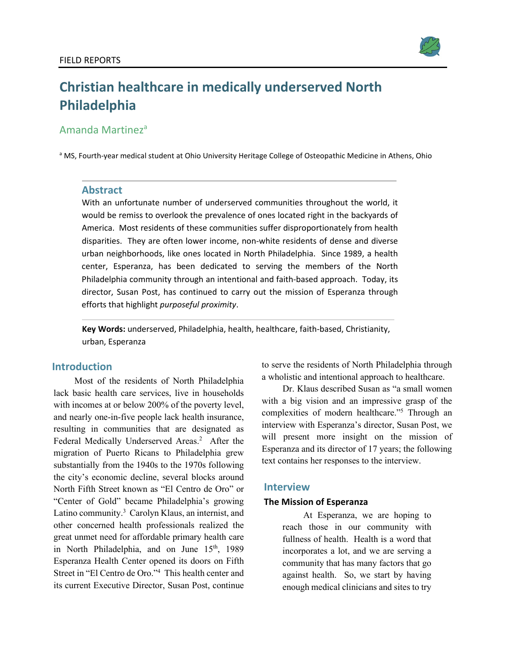

# **Christian healthcare in medically underserved North Philadelphia**

# Amanda Martineza

<sup>a</sup> MS, Fourth-year medical student at Ohio University Heritage College of Osteopathic Medicine in Athens, Ohio

## **Abstract**

With an unfortunate number of underserved communities throughout the world, it would be remiss to overlook the prevalence of ones located right in the backyards of America. Most residents of these communities suffer disproportionately from health disparities. They are often lower income, non-white residents of dense and diverse urban neighborhoods, like ones located in North Philadelphia. Since 1989, a health center, Esperanza, has been dedicated to serving the members of the North Philadelphia community through an intentional and faith-based approach. Today, its director, Susan Post, has continued to carry out the mission of Esperanza through efforts that highlight *purposeful proximity*.

**Key Words:** underserved, Philadelphia, health, healthcare, faith-based, Christianity, urban, Esperanza

#### **Introduction**

Most of the residents of North Philadelphia lack basic health care services, live in households with incomes at or below 200% of the poverty level, and nearly one-in-five people lack health insurance, resulting in communities that are designated as Federal Medically Underserved Areas.<sup>2</sup> After the migration of Puerto Ricans to Philadelphia grew substantially from the 1940s to the 1970s following the city's economic decline, several blocks around North Fifth Street known as "El Centro de Oro" or "Center of Gold" became Philadelphia's growing Latino community.<sup>3</sup> Carolyn Klaus, an internist, and other concerned health professionals realized the great unmet need for affordable primary health care in North Philadelphia, and on June 15<sup>th</sup>, 1989 Esperanza Health Center opened its doors on Fifth Street in "El Centro de Oro."4 This health center and its current Executive Director, Susan Post, continue to serve the residents of North Philadelphia through a wholistic and intentional approach to healthcare.

Dr. Klaus described Susan as "a small women with a big vision and an impressive grasp of the complexities of modern healthcare."5 Through an interview with Esperanza's director, Susan Post, we will present more insight on the mission of Esperanza and its director of 17 years; the following text contains her responses to the interview.

## **Interview**

#### **The Mission of Esperanza**

At Esperanza, we are hoping to reach those in our community with fullness of health. Health is a word that incorporates a lot, and we are serving a community that has many factors that go against health. So, we start by having enough medical clinicians and sites to try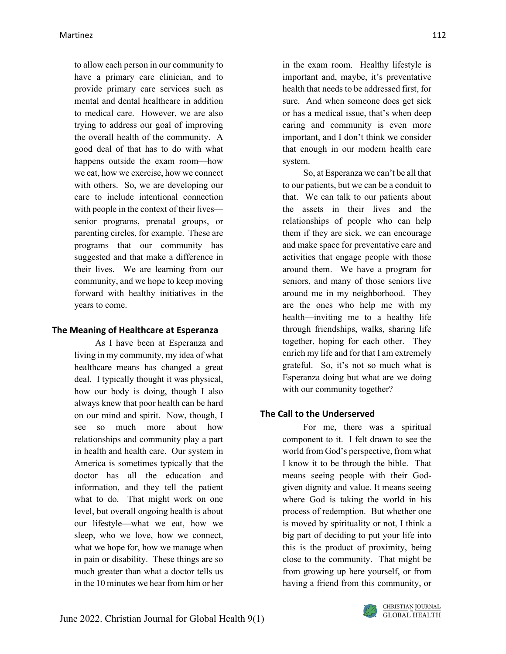to allow each person in our community to have a primary care clinician, and to provide primary care services such as mental and dental healthcare in addition to medical care. However, we are also trying to address our goal of improving the overall health of the community. A good deal of that has to do with what happens outside the exam room—how we eat, how we exercise, how we connect with others. So, we are developing our care to include intentional connection with people in the context of their lives senior programs, prenatal groups, or parenting circles, for example. These are programs that our community has suggested and that make a difference in their lives. We are learning from our community, and we hope to keep moving forward with healthy initiatives in the years to come.

## **The Meaning of Healthcare at Esperanza**

As I have been at Esperanza and living in my community, my idea of what healthcare means has changed a great deal. I typically thought it was physical, how our body is doing, though I also always knew that poor health can be hard on our mind and spirit. Now, though, I see so much more about how relationships and community play a part in health and health care. Our system in America is sometimes typically that the doctor has all the education and information, and they tell the patient what to do. That might work on one level, but overall ongoing health is about our lifestyle—what we eat, how we sleep, who we love, how we connect, what we hope for, how we manage when in pain or disability. These things are so much greater than what a doctor tells us in the 10 minutes we hear from him or her

in the exam room. Healthy lifestyle is important and, maybe, it's preventative health that needs to be addressed first, for sure. And when someone does get sick or has a medical issue, that's when deep caring and community is even more important, and I don't think we consider that enough in our modern health care system.

So, at Esperanza we can't be all that to our patients, but we can be a conduit to that. We can talk to our patients about the assets in their lives and the relationships of people who can help them if they are sick, we can encourage and make space for preventative care and activities that engage people with those around them. We have a program for seniors, and many of those seniors live around me in my neighborhood. They are the ones who help me with my health—inviting me to a healthy life through friendships, walks, sharing life together, hoping for each other. They enrich my life and for that I am extremely grateful. So, it's not so much what is Esperanza doing but what are we doing with our community together?

## **The Call to the Underserved**

For me, there was a spiritual component to it. I felt drawn to see the world from God's perspective, from what I know it to be through the bible. That means seeing people with their Godgiven dignity and value. It means seeing where God is taking the world in his process of redemption. But whether one is moved by spirituality or not, I think a big part of deciding to put your life into this is the product of proximity, being close to the community. That might be from growing up here yourself, or from having a friend from this community, or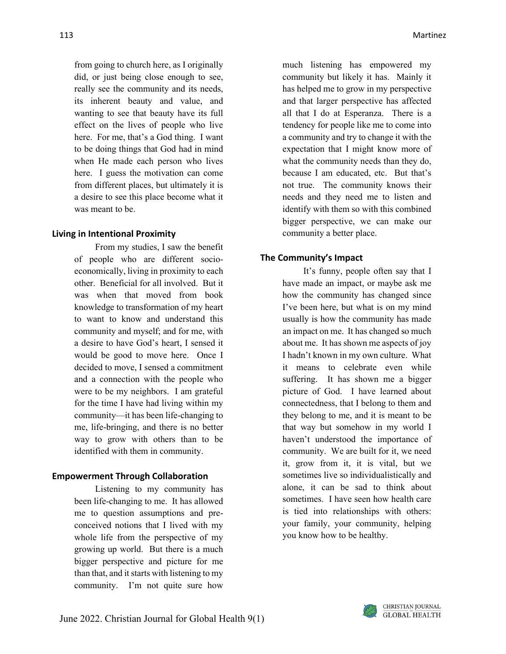from going to church here, as I originally did, or just being close enough to see, really see the community and its needs, its inherent beauty and value, and wanting to see that beauty have its full effect on the lives of people who live here. For me, that's a God thing. I want to be doing things that God had in mind when He made each person who lives here. I guess the motivation can come from different places, but ultimately it is a desire to see this place become what it was meant to be.

#### **Living in Intentional Proximity**

From my studies, I saw the benefit of people who are different socioeconomically, living in proximity to each other. Beneficial for all involved. But it was when that moved from book knowledge to transformation of my heart to want to know and understand this community and myself; and for me, with a desire to have God's heart, I sensed it would be good to move here. Once I decided to move, I sensed a commitment and a connection with the people who were to be my neighbors. I am grateful for the time I have had living within my community—it has been life-changing to me, life-bringing, and there is no better way to grow with others than to be identified with them in community.

#### **Empowerment Through Collaboration**

Listening to my community has been life-changing to me. It has allowed me to question assumptions and preconceived notions that I lived with my whole life from the perspective of my growing up world. But there is a much bigger perspective and picture for me than that, and it starts with listening to my community. I'm not quite sure how

much listening has empowered my community but likely it has. Mainly it has helped me to grow in my perspective and that larger perspective has affected all that I do at Esperanza. There is a tendency for people like me to come into a community and try to change it with the expectation that I might know more of what the community needs than they do, because I am educated, etc. But that's not true. The community knows their needs and they need me to listen and identify with them so with this combined bigger perspective, we can make our community a better place.

#### **The Community's Impact**

It's funny, people often say that I have made an impact, or maybe ask me how the community has changed since I've been here, but what is on my mind usually is how the community has made an impact on me. It has changed so much about me. It has shown me aspects of joy I hadn't known in my own culture. What it means to celebrate even while suffering. It has shown me a bigger picture of God. I have learned about connectedness, that I belong to them and they belong to me, and it is meant to be that way but somehow in my world I haven't understood the importance of community. We are built for it, we need it, grow from it, it is vital, but we sometimes live so individualistically and alone, it can be sad to think about sometimes. I have seen how health care is tied into relationships with others: your family, your community, helping you know how to be healthy.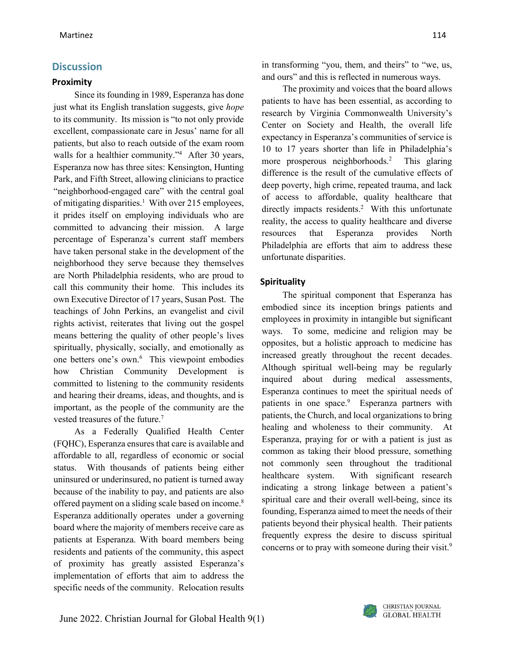## **Discussion**

#### **Proximity**

Since its founding in 1989, Esperanza has done just what its English translation suggests, give *hope* to its community. Its mission is "to not only provide excellent, compassionate care in Jesus' name for all patients, but also to reach outside of the exam room walls for a healthier community."<sup>4</sup> After 30 years, Esperanza now has three sites: Kensington, Hunting Park, and Fifth Street, allowing clinicians to practice "neighborhood-engaged care" with the central goal of mitigating disparities.<sup>1</sup> With over 215 employees, it prides itself on employing individuals who are committed to advancing their mission. A large percentage of Esperanza's current staff members have taken personal stake in the development of the neighborhood they serve because they themselves are North Philadelphia residents, who are proud to call this community their home. This includes its own Executive Director of 17 years, Susan Post. The teachings of John Perkins, an evangelist and civil rights activist, reiterates that living out the gospel means bettering the quality of other people's lives spiritually, physically, socially, and emotionally as one betters one's own.<sup>6</sup> This viewpoint embodies how Christian Community Development is committed to listening to the community residents and hearing their dreams, ideas, and thoughts, and is important, as the people of the community are the vested treasures of the future.7

As a Federally Qualified Health Center (FQHC), Esperanza ensures that care is available and affordable to all, regardless of economic or social status. With thousands of patients being either uninsured or underinsured, no patient is turned away because of the inability to pay, and patients are also offered payment on a sliding scale based on income.<sup>8</sup> Esperanza additionally operates under a governing board where the majority of members receive care as patients at Esperanza. With board members being residents and patients of the community, this aspect of proximity has greatly assisted Esperanza's implementation of efforts that aim to address the specific needs of the community. Relocation results

in transforming "you, them, and theirs" to "we, us, and ours" and this is reflected in numerous ways.

The proximity and voices that the board allows patients to have has been essential, as according to research by Virginia Commonwealth University's Center on Society and Health, the overall life expectancy in Esperanza's communities of service is 10 to 17 years shorter than life in Philadelphia's more prosperous neighborhoods.2 This glaring difference is the result of the cumulative effects of deep poverty, high crime, repeated trauma, and lack of access to affordable, quality healthcare that directly impacts residents.<sup>2</sup> With this unfortunate reality, the access to quality healthcare and diverse resources that Esperanza provides North Philadelphia are efforts that aim to address these unfortunate disparities.

#### **Spirituality**

The spiritual component that Esperanza has embodied since its inception brings patients and employees in proximity in intangible but significant ways. To some, medicine and religion may be opposites, but a holistic approach to medicine has increased greatly throughout the recent decades. Although spiritual well-being may be regularly inquired about during medical assessments, Esperanza continues to meet the spiritual needs of patients in one space.<sup>9</sup> Esperanza partners with patients, the Church, and local organizations to bring healing and wholeness to their community. At Esperanza, praying for or with a patient is just as common as taking their blood pressure, something not commonly seen throughout the traditional healthcare system. With significant research indicating a strong linkage between a patient's spiritual care and their overall well-being, since its founding, Esperanza aimed to meet the needs of their patients beyond their physical health. Their patients frequently express the desire to discuss spiritual concerns or to pray with someone during their visit. $9$ 

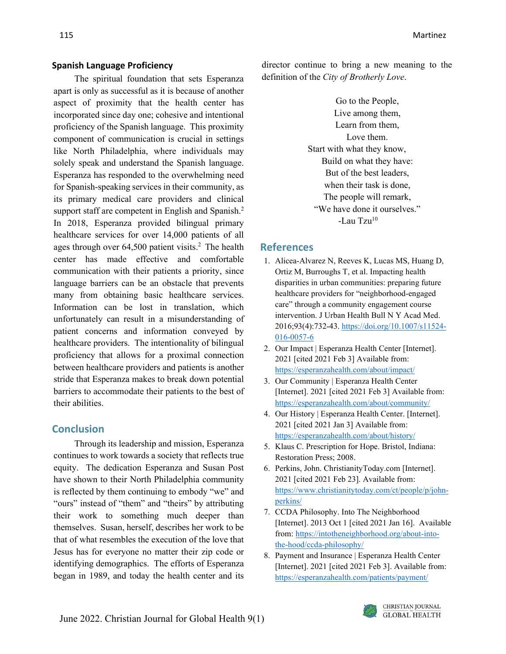## **Spanish Language Proficiency**

The spiritual foundation that sets Esperanza apart is only as successful as it is because of another aspect of proximity that the health center has incorporated since day one; cohesive and intentional proficiency of the Spanish language. This proximity component of communication is crucial in settings like North Philadelphia, where individuals may solely speak and understand the Spanish language. Esperanza has responded to the overwhelming need for Spanish-speaking services in their community, as its primary medical care providers and clinical support staff are competent in English and Spanish.<sup>2</sup> In 2018, Esperanza provided bilingual primary healthcare services for over 14,000 patients of all ages through over  $64,500$  patient visits.<sup>2</sup> The health center has made effective and comfortable communication with their patients a priority, since language barriers can be an obstacle that prevents many from obtaining basic healthcare services. Information can be lost in translation, which unfortunately can result in a misunderstanding of patient concerns and information conveyed by healthcare providers. The intentionality of bilingual proficiency that allows for a proximal connection between healthcare providers and patients is another stride that Esperanza makes to break down potential barriers to accommodate their patients to the best of their abilities.

# **Conclusion**

Through its leadership and mission, Esperanza continues to work towards a society that reflects true equity. The dedication Esperanza and Susan Post have shown to their North Philadelphia community is reflected by them continuing to embody "we" and "ours" instead of "them" and "theirs" by attributing their work to something much deeper than themselves. Susan, herself, describes her work to be that of what resembles the execution of the love that Jesus has for everyone no matter their zip code or identifying demographics. The efforts of Esperanza began in 1989, and today the health center and its

director continue to bring a new meaning to the definition of the *City of Brotherly Love*.

> Go to the People, Live among them, Learn from them, Love them. Start with what they know, Build on what they have: But of the best leaders, when their task is done, The people will remark, "We have done it ourselves." -Lau Tzu10

## **References**

- 1. Alicea-Alvarez N, Reeves K, Lucas MS, Huang D, Ortiz M, Burroughs T, et al. Impacting health disparities in urban communities: preparing future healthcare providers for "neighborhood-engaged care" through a community engagement course intervention. J Urban Health Bull N Y Acad Med. 2016;93(4):732-43[. https://doi.org/10.1007/s11524-](https://doi.org/10.1007/s11524-016-0057-6) [016-0057-6](https://doi.org/10.1007/s11524-016-0057-6)
- 2. Our Impact | Esperanza Health Center [Internet]. 2021 [cited 2021 Feb 3] Available from: <https://esperanzahealth.com/about/impact/>
- 3. Our Community | Esperanza Health Center [Internet]. 2021 [cited 2021 Feb 3] Available from: <https://esperanzahealth.com/about/community/>
- 4. Our History | Esperanza Health Center. [Internet]. 2021 [cited 2021 Jan 3] Available from: <https://esperanzahealth.com/about/history/>
- 5. Klaus C. Prescription for Hope. Bristol, Indiana: Restoration Press; 2008.
- 6. Perkins, John. ChristianityToday.com [Internet]. 2021 [cited 2021 Feb 23]. Available from: [https://www.christianitytoday.com/ct/people/p/john](https://www.christianitytoday.com/ct/people/p/john-perkins/)[perkins/](https://www.christianitytoday.com/ct/people/p/john-perkins/)
- 7. CCDA Philosophy. Into The Neighborhood [Internet]. 2013 Oct 1 [cited 2021 Jan 16]. Available from[: https://intotheneighborhood.org/about-into](https://intotheneighborhood.org/about-into-the-hood/ccda-philosophy/)[the-hood/ccda-philosophy/](https://intotheneighborhood.org/about-into-the-hood/ccda-philosophy/)
- 8. Payment and Insurance | Esperanza Health Center [Internet]. 2021 [cited 2021 Feb 3]. Available from: <https://esperanzahealth.com/patients/payment/>